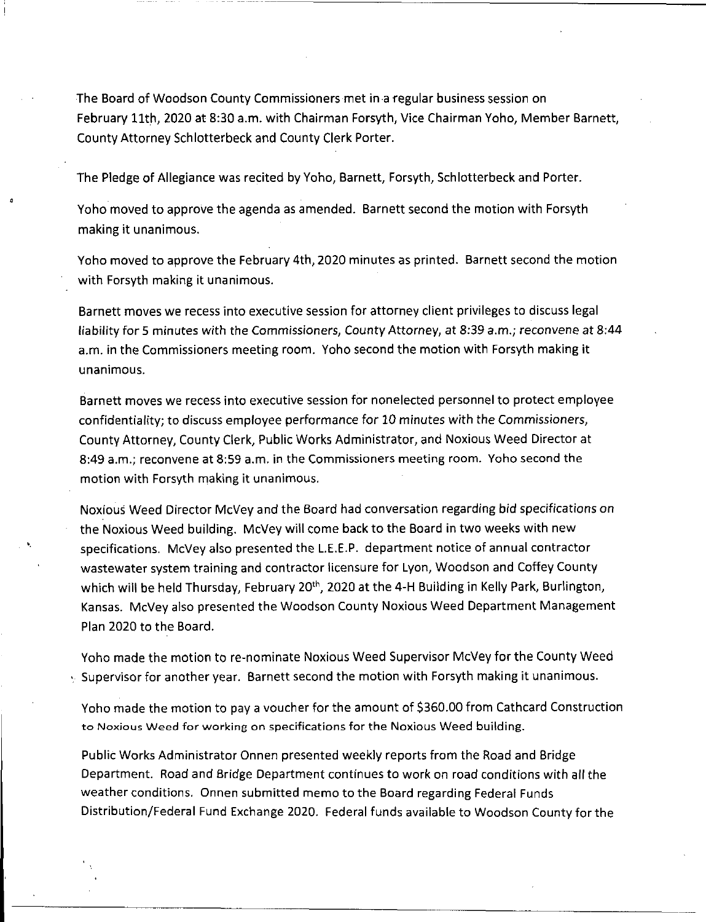The Board of Woodson County Commissioners met in <sup>a</sup> regular business session on February 11th, 2020 at 8:30 a.m. with Chairman Forsyth, Vice Chairman Yoho, Member Barnett, County Attorney Schlotterbeck and County Clerk Porter.

The Pledge of Allegiance was recited by Yoho, Barnett, Forsyth, Schlotterbeck and Porter.

Yoho moved to approve the agenda as amended. Barnett second the motion with Forsyth making it unanimous.

Yoho moved to approve the February 4th, 2020 minutes as printed. Barnett second the motion with Forsyth making it unanimous.

Barnett moves we recess into executive session for attorney client privileges to discuss legal liability for 5 minutes with the Commissioners, County Attorney, at 8:39 a.m.; reconvene at 8:44 a.m. in the Commissioners meeting room. Yoho second the motion with Forsyth making it unanimous.

Barnett moves we recess into executive session for nonelected personnel to protect employee confidentiality; to discuss employee performance for 10 minutes with the Commissioners, County Attorney, County Clerk, Public Works Administrator, and Noxious Weed Director at 8:49 a.m.; reconvene at 8:59 a.m. in the Commissioners meeting room. Yoho second the motion with Forsyth making it unanimous.

Noxious Weed Director McVey and the Board had conversation regarding bid specifications on the Noxious Weed building. McVey will come back to the Board in two weeks with new specifications. McVey also presented the L.E.E.P. department notice of annual contractor wastewater system training and contractor licensure for Lyon, Woodson and Coffey County which will be held Thursday, February 20<sup>th</sup>, 2020 at the 4-H Building in Kelly Park, Burlington, Kansas. McVey also presented the Woodson County Noxious Weed Department Management Plan 2020 to the Board.

Yoho made the motion to re-nominate Noxious Weed Supervisor McVey for the County Weed <sup>v</sup> Supervisor for another year. Barnett second the motion with Forsyth making it unanimous.

Yoho made the motion to pay <sup>a</sup> voucher for the amount of \$360.00 from Cathcard Construction to Noxious Weed for working on specifications for the Noxious Weed building.

Public Works Administrator Onnen presented weekly reports from the Road and Bridge Department. Road and Bridge Department continues to work on road conditions with all the weather conditions. Onnen submitted memo to the Board regarding Federal Funds Distribution/Federal Fund Exchange 2020. Federal funds available to Woodson County for the